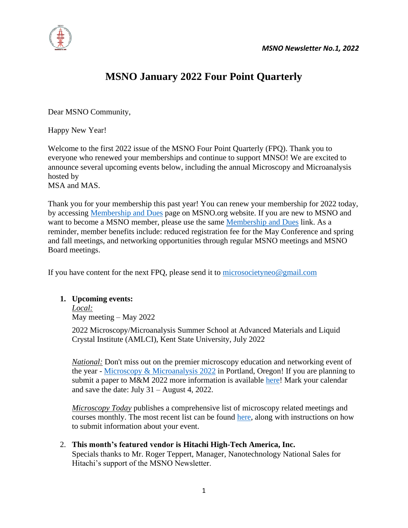

## **MSNO January 2022 Four Point Quarterly**

Dear MSNO Community,

Happy New Year!

Welcome to the first 2022 issue of the MSNO Four Point Quarterly (FPQ). Thank you to everyone who renewed your memberships and continue to support MNSO! We are excited to announce several upcoming events below, including the annual Microscopy and Microanalysis hosted by

MSA and MAS.

Thank you for your membership this past year! You can renew your membership for 2022 today, by accessing [Membership and Dues](http://www.msneo.org/membership-and-dues.html) page on MSNO.org website. If you are new to MSNO and want to become a MSNO member, please use the same [Membership and Dues](http://www.msneo.org/membership-and-dues.html) link. As a reminder, member benefits include: reduced registration fee for the May Conference and spring and fall meetings, and networking opportunities through regular MSNO meetings and MSNO Board meetings.

If you have content for the next FPQ, please send it to [microsocietyneo@gmail.com](https://ysuprod-my.sharepoint.com/personal/vcsolomon_ysu_edu/Documents/MSNO/microsocietyneo@gmail.com)

## **1. Upcoming events:**

*Local:* May meeting – May 2022

2022 Microscopy/Microanalysis Summer School at Advanced Materials and Liquid Crystal Institute (AMLCI), Kent State University, July 2022

*National:* Don't miss out on the premier microscopy education and networking event of the year - [Microscopy & Microanalysis 2022](https://www.microscopy.org/MandM/2022/) in Portland, Oregon! If you are planning to submit a paper to M&M 2022 more information is available [here!](https://www.microscopy.org/MandM/2022/meetings/CallforPapers.pdf) Mark your calendar and save the date: July 31 – August 4, 2022.

*Microscopy Today* publishes a comprehensive list of microscopy related meetings and courses monthly. The most recent list can be found [here,](https://www.cambridge.org/core/journals/microscopy-today/article/calendar/5D78F518E3ADF2A4FC3568596E903C97) along with instructions on how to submit information about your event.

2. **This month's featured vendor is Hitachi High-Tech America, Inc.** Specials thanks to Mr. Roger Teppert, Manager, Nanotechnology National Sales for Hitachi's support of the MSNO Newsletter.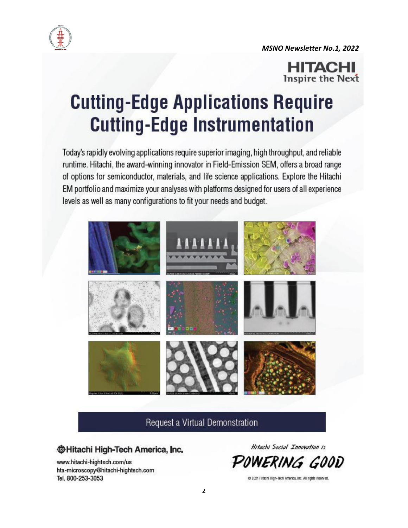

**MSNO Newsletter No.1, 2022** 



# **Cutting-Edge Applications Require Cutting-Edge Instrumentation**

Today's rapidly evolving applications require superior imaging, high throughput, and reliable runtime. Hitachi, the award-winning innovator in Field-Emission SEM, offers a broad range of options for semiconductor, materials, and life science applications. Explore the Hitachi EM portfolio and maximize your analyses with platforms designed for users of all experience levels as well as many configurations to fit your needs and budget.



Request a Virtual Demonstration

## **<sup>@Hitachi High-Tech America, Inc.**</sup>

www.hitachi-hightech.com/us hta-microscopy@hitachi-hightech.com Tel. 800-253-3053

Hitachi Social Innovation is

IERING GOOD

@ 2021 Hitachi High-Tech America, Inc. All rights reserved.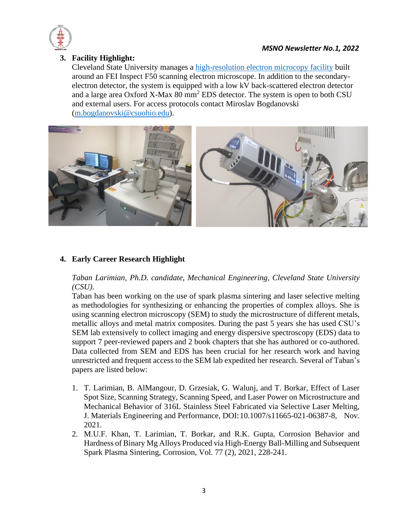

#### *MSNO Newsletter No.1, 2022*

## **3. Facility Highlight:**

Cleveland State University manages a [high-resolution electron microcopy facility](https://sciences.csuohio.edu/physics/research-facilities-0) built around an FEI Inspect F50 scanning electron microscope. In addition to the secondaryelectron detector, the system is equipped with a low kV back-scattered electron detector and a large area Oxford X-Max 80 mm<sup>2</sup> EDS detector. The system is open to both CSU and external users. For access protocols contact Miroslav Bogdanovski [\(m.bogdanovski@csuohio.edu\)](mailto:m.bogdanovski@csuohio.edu).



## **4. Early Career Research Highlight**

*Taban Larimian, Ph.D. candidate, Mechanical Engineering, Cleveland State University (CSU)*.

Taban has been working on the use of spark plasma sintering and laser selective melting as methodologies for synthesizing or enhancing the properties of complex alloys. She is using scanning electron microscopy (SEM) to study the microstructure of different metals, metallic alloys and metal matrix composites. During the past 5 years she has used CSU's SEM lab extensively to collect imaging and energy dispersive spectroscopy (EDS) data to support 7 peer-reviewed papers and 2 book chapters that she has authored or co-authored. Data collected from SEM and EDS has been crucial for her research work and having unrestricted and frequent access to the SEM lab expedited her research. Several of Taban's papers are listed below:

- 1. T. Larimian, B. AlMangour, D. Grzesiak, G. Walunj, and T. Borkar, Effect of Laser Spot Size, Scanning Strategy, Scanning Speed, and Laser Power on Microstructure and Mechanical Behavior of 316L Stainless Steel Fabricated via Selective Laser Melting, J. Materials Engineering and Performance, DOI:10.1007/s11665-021-06387-8, Nov. 2021.
- 2. M.U.F. Khan, T. Larimian, T. Borkar, and R.K. Gupta, Corrosion Behavior and Hardness of Binary Mg Alloys Produced via High-Energy Ball-Milling and Subsequent Spark Plasma Sintering, Corrosion, Vol. 77 (2), 2021, 228-241.